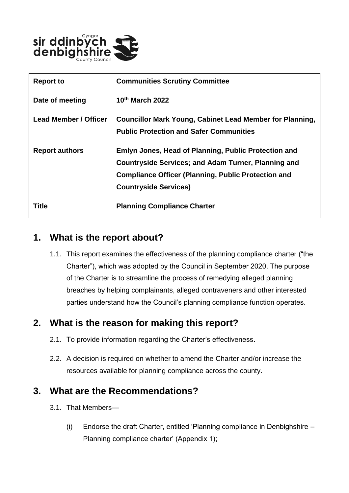

| <b>Report to</b>      | <b>Communities Scrutiny Committee</b>                                                                                                                                                                            |
|-----------------------|------------------------------------------------------------------------------------------------------------------------------------------------------------------------------------------------------------------|
| Date of meeting       | $10th$ March 2022                                                                                                                                                                                                |
| Lead Member / Officer | <b>Councillor Mark Young, Cabinet Lead Member for Planning,</b><br><b>Public Protection and Safer Communities</b>                                                                                                |
| <b>Report authors</b> | Emlyn Jones, Head of Planning, Public Protection and<br><b>Countryside Services; and Adam Turner, Planning and</b><br><b>Compliance Officer (Planning, Public Protection and</b><br><b>Countryside Services)</b> |
| Title                 | <b>Planning Compliance Charter</b>                                                                                                                                                                               |

## **1. What is the report about?**

1.1. This report examines the effectiveness of the planning compliance charter ("the Charter"), which was adopted by the Council in September 2020. The purpose of the Charter is to streamline the process of remedying alleged planning breaches by helping complainants, alleged contraveners and other interested parties understand how the Council's planning compliance function operates.

### **2. What is the reason for making this report?**

- 2.1. To provide information regarding the Charter's effectiveness.
- 2.2. A decision is required on whether to amend the Charter and/or increase the resources available for planning compliance across the county.

### **3. What are the Recommendations?**

- 3.1. That Members—
	- (i) Endorse the draft Charter, entitled 'Planning compliance in Denbighshire Planning compliance charter' (Appendix 1);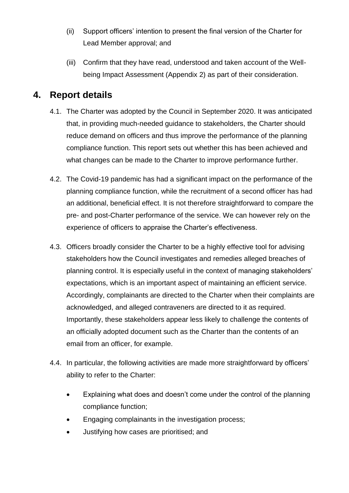- (ii) Support officers' intention to present the final version of the Charter for Lead Member approval; and
- (iii) Confirm that they have read, understood and taken account of the Wellbeing Impact Assessment (Appendix 2) as part of their consideration.

#### **4. Report details**

- 4.1. The Charter was adopted by the Council in September 2020. It was anticipated that, in providing much-needed guidance to stakeholders, the Charter should reduce demand on officers and thus improve the performance of the planning compliance function. This report sets out whether this has been achieved and what changes can be made to the Charter to improve performance further.
- 4.2. The Covid-19 pandemic has had a significant impact on the performance of the planning compliance function, while the recruitment of a second officer has had an additional, beneficial effect. It is not therefore straightforward to compare the pre- and post-Charter performance of the service. We can however rely on the experience of officers to appraise the Charter's effectiveness.
- 4.3. Officers broadly consider the Charter to be a highly effective tool for advising stakeholders how the Council investigates and remedies alleged breaches of planning control. It is especially useful in the context of managing stakeholders' expectations, which is an important aspect of maintaining an efficient service. Accordingly, complainants are directed to the Charter when their complaints are acknowledged, and alleged contraveners are directed to it as required. Importantly, these stakeholders appear less likely to challenge the contents of an officially adopted document such as the Charter than the contents of an email from an officer, for example.
- 4.4. In particular, the following activities are made more straightforward by officers' ability to refer to the Charter:
	- Explaining what does and doesn't come under the control of the planning compliance function;
	- Engaging complainants in the investigation process;
	- Justifying how cases are prioritised; and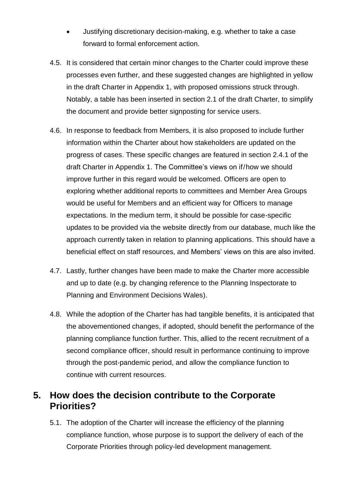- Justifying discretionary decision-making, e.g. whether to take a case forward to formal enforcement action.
- 4.5. It is considered that certain minor changes to the Charter could improve these processes even further, and these suggested changes are highlighted in yellow in the draft Charter in Appendix 1, with proposed omissions struck through. Notably, a table has been inserted in section 2.1 of the draft Charter, to simplify the document and provide better signposting for service users.
- 4.6. In response to feedback from Members, it is also proposed to include further information within the Charter about how stakeholders are updated on the progress of cases. These specific changes are featured in section 2.4.1 of the draft Charter in Appendix 1. The Committee's views on if/how we should improve further in this regard would be welcomed. Officers are open to exploring whether additional reports to committees and Member Area Groups would be useful for Members and an efficient way for Officers to manage expectations. In the medium term, it should be possible for case-specific updates to be provided via the website directly from our database, much like the approach currently taken in relation to planning applications. This should have a beneficial effect on staff resources, and Members' views on this are also invited.
- 4.7. Lastly, further changes have been made to make the Charter more accessible and up to date (e.g. by changing reference to the Planning Inspectorate to Planning and Environment Decisions Wales).
- 4.8. While the adoption of the Charter has had tangible benefits, it is anticipated that the abovementioned changes, if adopted, should benefit the performance of the planning compliance function further. This, allied to the recent recruitment of a second compliance officer, should result in performance continuing to improve through the post-pandemic period, and allow the compliance function to continue with current resources.

### **5. How does the decision contribute to the Corporate Priorities?**

5.1. The adoption of the Charter will increase the efficiency of the planning compliance function, whose purpose is to support the delivery of each of the Corporate Priorities through policy-led development management.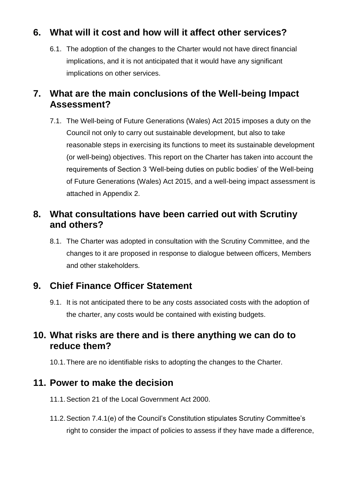# **6. What will it cost and how will it affect other services?**

6.1. The adoption of the changes to the Charter would not have direct financial implications, and it is not anticipated that it would have any significant implications on other services.

### **7. What are the main conclusions of the Well-being Impact Assessment?**

7.1. The Well-being of Future Generations (Wales) Act 2015 imposes a duty on the Council not only to carry out sustainable development, but also to take reasonable steps in exercising its functions to meet its sustainable development (or well-being) objectives. This report on the Charter has taken into account the requirements of Section 3 'Well-being duties on public bodies' of the Well-being of Future Generations (Wales) Act 2015, and a well-being impact assessment is attached in Appendix 2.

## **8. What consultations have been carried out with Scrutiny and others?**

8.1. The Charter was adopted in consultation with the Scrutiny Committee, and the changes to it are proposed in response to dialogue between officers, Members and other stakeholders.

### **9. Chief Finance Officer Statement**

9.1. It is not anticipated there to be any costs associated costs with the adoption of the charter, any costs would be contained with existing budgets.

### **10. What risks are there and is there anything we can do to reduce them?**

10.1.There are no identifiable risks to adopting the changes to the Charter.

#### **11. Power to make the decision**

- 11.1.Section 21 of the Local Government Act 2000.
- 11.2.Section 7.4.1(e) of the Council's Constitution stipulates Scrutiny Committee's right to consider the impact of policies to assess if they have made a difference,